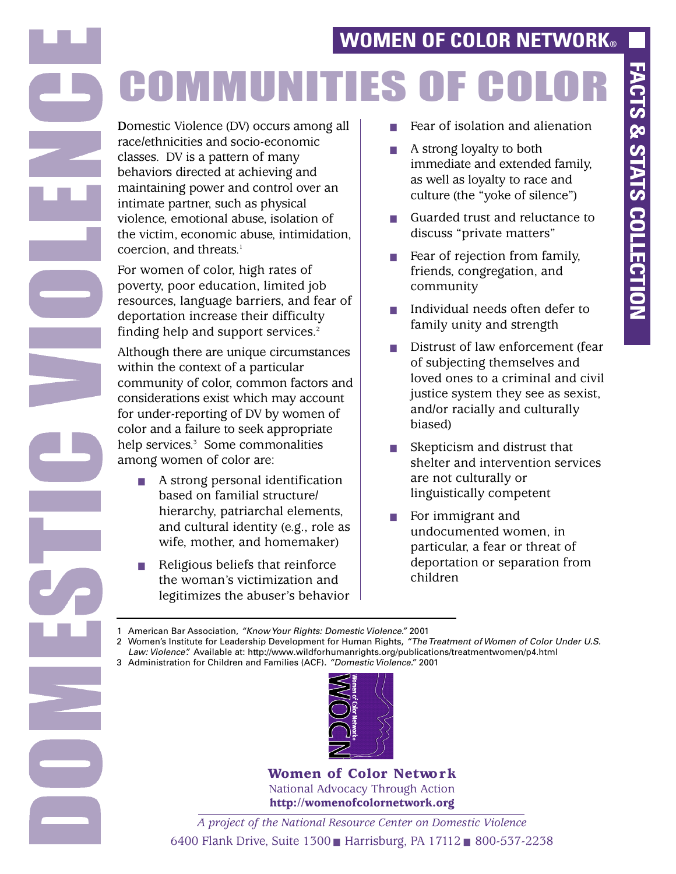# **WOMEN OF COLOR NETWORK®**

# **COMMUNITIES OF CO**

**D**omestic Violence (DV) occurs among all race/ethnicities and socio-economic classes. DV is a pattern of many behaviors directed at achieving and maintaining power and control over an intimate partner, such as physical violence, emotional abuse, isolation of the victim, economic abuse, intimidation, coercion, and threats. 1

For women of color, high rates of poverty, poor education, limited job resources, language barriers, and fear of deportation increase their difficulty finding help and support services. 2

Although there are unique circumstances within the context of a particular community of color, common factors and considerations exist which may account for under-reporting of DV by women of color and a failure to seek appropriate help services. <sup>3</sup> Some commonalities among women of color are:

- ! A strong personal identification based on familial structure/ hierarchy, patriarchal elements, and cultural identity (e.g., role as wife, mother, and homemaker)
- $\blacksquare$  Religious beliefs that reinforce the woman's victimization and legitimizes the abuser's behavior
- $\blacksquare$  Fear of isolation and alienation
- $\blacksquare$  A strong loyalty to both immediate and extended family, as well as loyalty to race and culture (the "yoke of silence")
- Guarded trust and reluctance to discuss "private matters"
- $\blacksquare$  Fear of rejection from family, friends, congregation, and community
- Individual needs often defer to family unity and strength
- **I.** Distrust of law enforcement (fear of subjecting themselves and loved ones to a criminal and civil justice system they see as sexist, and/or racially and culturally biased)
- $\blacksquare$  Skepticism and distrust that shelter and intervention services are not culturally or linguistically competent
- For immigrant and undocumented women, in particular, a fear or threat of deportation or separation from children

1 American Bar Association, *"KnowYour Rights: Domestic Violence."* 2001

2 Women's Institute for Leadership Development for Human Rights, *"TheTreatment of Women of Color Under U.S. Law: Violence".* Available at: http://www.wildforhumanrights.org/publications/treatmentwomen/p4.html

3 Administration for Children and Families (ACF). *"Domestic Violence."* 2001



Women of Color Network National Advocacy Through Action http://womenofcolornetwork.org

*A project of the National Resource Center on Domestic Violence* 6400 Flank Drive, Suite 1300 Harrisburg, PA 17112 800-537-2238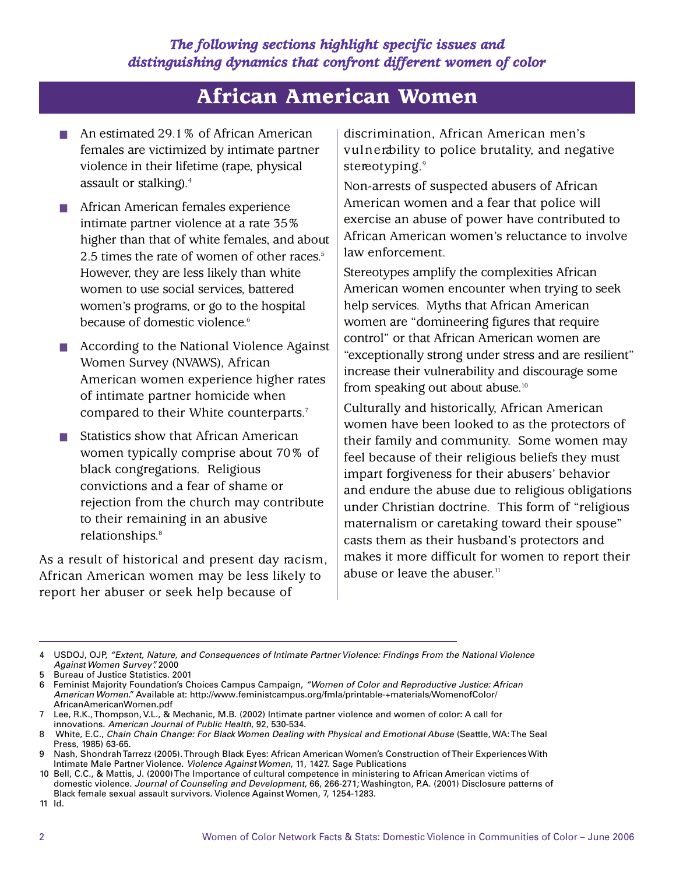# African American Women

- An estimated 29.1% of African American females are victimized by intimate partner violence in their lifetime (rape, physical assault or stalking). 4
- **E.** African American females experience intimate partner violence at a rate 35% higher than that of white females, and about 2.5 times the rate of women of other races. 5 However, they are less likely than white women to use social services, battered women's programs, or go to the hospital because of domestic violence. 6
- ! According to the National Violence Against Women Survey (NVAWS), African American women experience higher rates of intimate partner homicide when compared to their White counterparts. 7
- Statistics show that African American women typically comprise about 70% of black congregations. Religious convictions and a fear of shame or rejection from the church may contribute to their remaining in an abusive relationships. 8

As a result of historical and present day racism, African American women may be less likely to report her abuser or seek help because of

discrimination, African American men's vulnerability to police brutality, and negative stereotyping. 9

Non-arrests of suspected abusers of African American women and a fear that police will exercise an abuse of power have contributed to African American women's reluctance to involve law enforcement.

Stereotypes amplify the complexities African American women encounter when trying to seek help services. Myths that African American women are "domineering figures that require control" or that African American women are "exceptionally strong under stress and are resilient" increase their vulnerability and discourage some from speaking out about abuse. 10

Culturally and historically, African American women have been looked to as the protectors of their family and community. Some women may feel because of their religious beliefs they must impart forgiveness for their abusers' behavior and endure the abuse due to religious obligations under Christian doctrine. This form of "religious maternalism or caretaking toward their spouse" casts them as their husband's protectors and makes it more difficult for women to report their abuse or leave the abuser. 11

<sup>4</sup> USDOJ, OJP, *"Extent, Nature, and Consequences of Intimate PartnerViolence: Findings From the National Violence Against Women Survey".* 2000

<sup>5</sup> Bureau of Justice Statistics. 2001

<sup>6</sup> Feminist Majority Foundation's Choices Campus Campaign, *"Women of Color and Reproductive Justice: African American Women."* Available at: http://www.feministcampus.org/fmla/printable-+materials/WomenofColor/ AfricanAmericanWomen.pdf

<sup>7</sup> Lee, R.K.,Thompson, V.L., & Mechanic, M.B. (2002) Intimate partner violence and women of color: A call for innovations. *American Journal of Public Health*, 92, 530-534.

<sup>8</sup> White, E.C., *Chain Chain Change: For Black Women Dealing with Physical and Emotional Abuse* (Seattle, WA:The Seal Press, 1985) 63-65.

<sup>9</sup> Nash, ShondrahTarrezz (2005).Through Black Eyes: African American Women's Construction ofTheir Experiences With Intimate Male Partner Violence. *Violence AgainstWomen*, 11, 1427. Sage Publications

<sup>10</sup> Bell, C.C., & Mattis, J. (2000)The Importance of cultural competence in ministering to African American victims of domestic violence. *Journal of Counseling and Development*, 66, 266-271; Washington, P.A. (2001) Disclosure patterns of Black female sexual assault survivors. Violence Against Women, 7, 1254-1283.

<sup>11</sup> Id.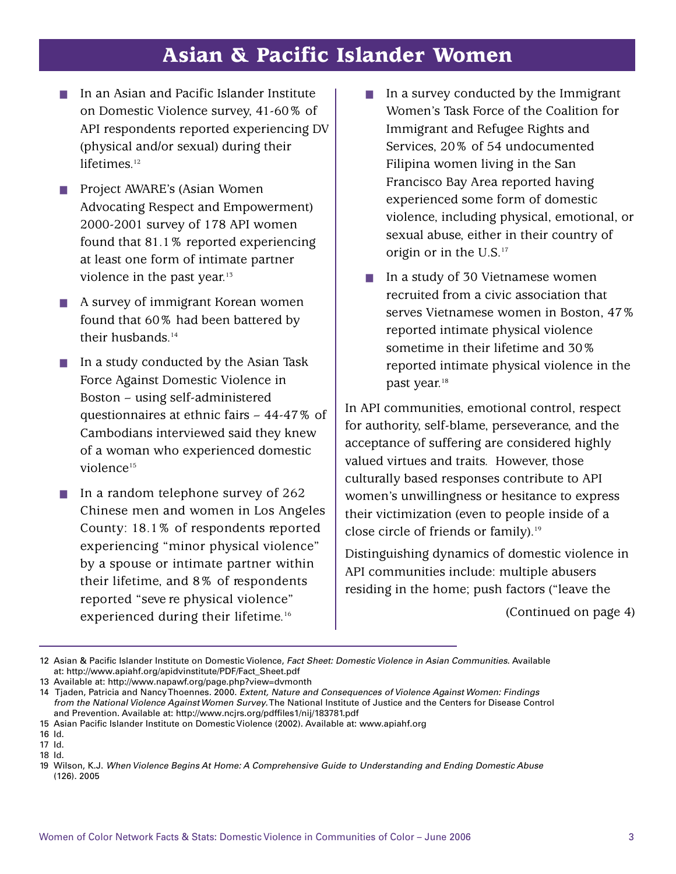# Asian & Pacific Islander Women

- ! In an Asian and Pacific Islander Institute on Domestic Violence survey, 41-60% of API respondents reported experiencing DV (physical and/or sexual) during their lifetimes. 12
- ! Project AWARE's (Asian Women Advocating Respect and Empowerment) 2000-2001 survey of 178 API women found that 81.1% reported experiencing at least one form of intimate partner violence in the past year.<sup>13</sup>
- ! A survey of immigrant Korean women found that 60% had been battered by their husbands. 14
- ! In a study conducted by the Asian Task Force Against Domestic Violence in Boston – using self-administered questionnaires at ethnic fairs – 44-47% of Cambodians interviewed said they knew of a woman who experienced domestic violence<sup>15</sup>
- In a random telephone survey of 262 Chinese men and women in Los Angeles County: 18.1% of respondents reported experiencing "minor physical violence" by a spouse or intimate partner within their lifetime, and 8% of respondents reported "seve re physical violence" experienced during their lifetime. 16
- $\blacksquare$  In a survey conducted by the Immigrant Women's Task Force of the Coalition for Immigrant and Refugee Rights and Services, 20% of 54 undocumented Filipina women living in the San Francisco Bay Area reported having experienced some form of domestic violence, including physical, emotional, or sexual abuse, either in their country of origin or in the U.S.<sup>17</sup>
- In a study of 30 Vietnamese women recruited from a civic association that serves Vietnamese women in Boston, 47% reported intimate physical violence sometime in their lifetime and 30% reported intimate physical violence in the past year. 18

In API communities, emotional control, respect for authority, self-blame, perseverance, and the acceptance of suffering are considered highly valued virtues and traits. However, those culturally based responses contribute to API women's unwillingness or hesitance to express their victimization (even to people inside of a close circle of friends or family).<sup>19</sup>

Distinguishing dynamics of domestic violence in API communities include: multiple abusers residing in the home; push factors ("leave the

(Continued on page 4)

<sup>12</sup> Asian & Pacific Islander Institute on Domestic Violence, *Fact Sheet: Domestic Violence in Asian Communities*. Available at: http://www.apiahf.org/apidvinstitute/PDF/Fact\_Sheet.pdf

<sup>13</sup> Available at: http://www.napawf.org/page.php?view=dvmonth

<sup>14</sup> Tjaden, Patricia and NancyThoennes. 2000. *Extent, Nature and Consequences of Violence Against Women: Findings from the National Violence AgainstWomen Survey*.The National Institute of Justice and the Centers for Disease Control and Prevention. Available at: http://www.ncjrs.org/pdffiles1/nij/183781.pdf

<sup>15</sup> Asian Pacific Islander Institute on Domestic Violence (2002). Available at: www.apiahf.org

<sup>16</sup> Id.

<sup>17</sup> Id.

<sup>18</sup> Id.

<sup>19</sup> Wilson, K.J. *When Violence Begins At Home: A Comprehensive Guide to Understanding and Ending Domestic Abuse* (126). 2005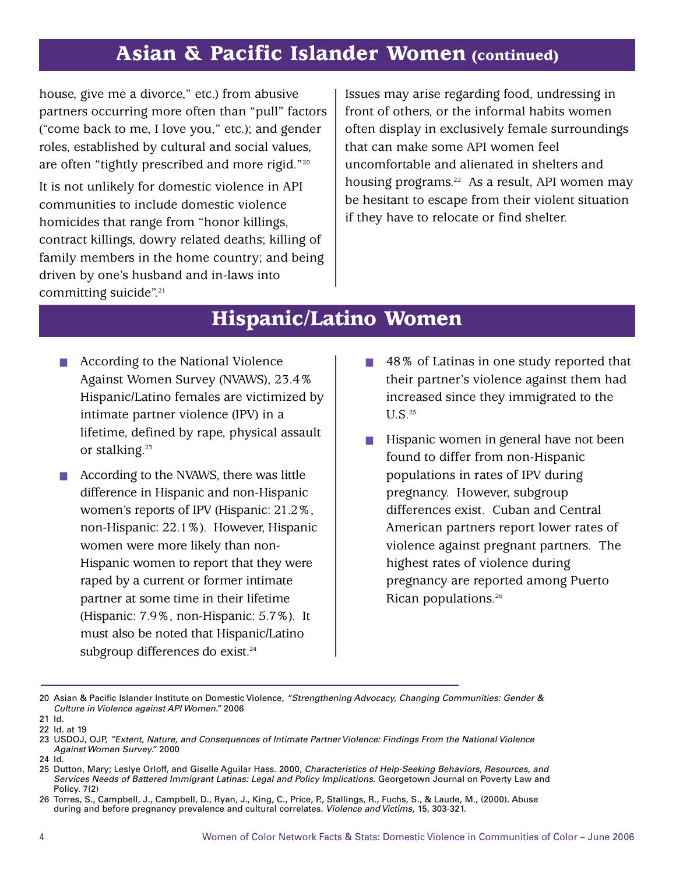# Asian & Pacific Islander Women (continued)

house, give me a divorce," etc.) from abusive partners occurring more often than "pull" factors ("come back to me, I love you," etc.); and gender roles, established by cultural and social values, are often "tightly prescribed and more rigid."20

It is not unlikely for domestic violence in API communities to include domestic violence homicides that range from "honor killings, contract killings, dowry related deaths; killing of family members in the home country; and being driven by one's husband and in-laws into committing suicide". 21

Issues may arise regarding food, undressing in front of others, or the informal habits women often display in exclusively female surroundings that can make some API women feel uncomfortable and alienated in shelters and housing programs.<sup>22</sup> As a result, API women may be hesitant to escape from their violent situation if they have to relocate or find shelter.

## Hispanic/Latino Women

- According to the National Violence Against Women Survey (NVAWS), 23.4% Hispanic/Latino females are victimized by intimate partner violence (IPV) in a lifetime, defined by rape, physical assault or stalking.<sup>23</sup>
- $\blacksquare$  According to the NVAWS, there was little difference in Hispanic and non-Hispanic women's reports of IPV (Hispanic: 21.2%, non-Hispanic: 22.1%). However, Hispanic women were more likely than non-Hispanic women to report that they were raped by a current or former intimate partner at some time in their lifetime (Hispanic: 7.9%, non-Hispanic: 5.7%). It must also be noted that Hispanic/Latino subgroup differences do exist. 24
- ! 48% of Latinas in one study reported that their partner's violence against them had increased since they immigrated to the  $U.S.<sup>25</sup>$
- **I.** Hispanic women in general have not been found to differ from non-Hispanic populations in rates of IPV during pregnancy. However, subgroup differences exist. Cuban and Central American partners report lower rates of violence against pregnant partners. The highest rates of violence during pregnancy are reported among Puerto Rican populations. 26

24 Id.

<sup>20</sup> Asian & Pacific Islander Institute on Domestic Violence, *"Strengthening Advocacy, Changing Communities: Gender & Culture in Violence against API Women."* 2006

<sup>21</sup> Id.

<sup>22</sup> Id. at 19

<sup>23</sup> USDOJ, OJP, *"Extent, Nature, and Consequences of Intimate PartnerViolence: Findings From the National Violence Against Women Survey."* 2000

<sup>25</sup> Dutton, Mary; Leslye Orloff, and Giselle Aguilar Hass. 2000, *Characteristics of Help-Seeking Behaviors, Resources, and Services Needs of Battered Immigrant Latinas: Legal and Policy Implications*. Georgetown Journal on Poverty Law and Policy. 7(2)

<sup>26</sup> Torres, S., Campbell, J., Campbell, D., Ryan, J., King, C., Price, P., Stallings, R., Fuchs, S., & Laude, M., (2000). Abuse during and before pregnancy prevalence and cultural correlates. *Violence and Victims*, 15, 303-321.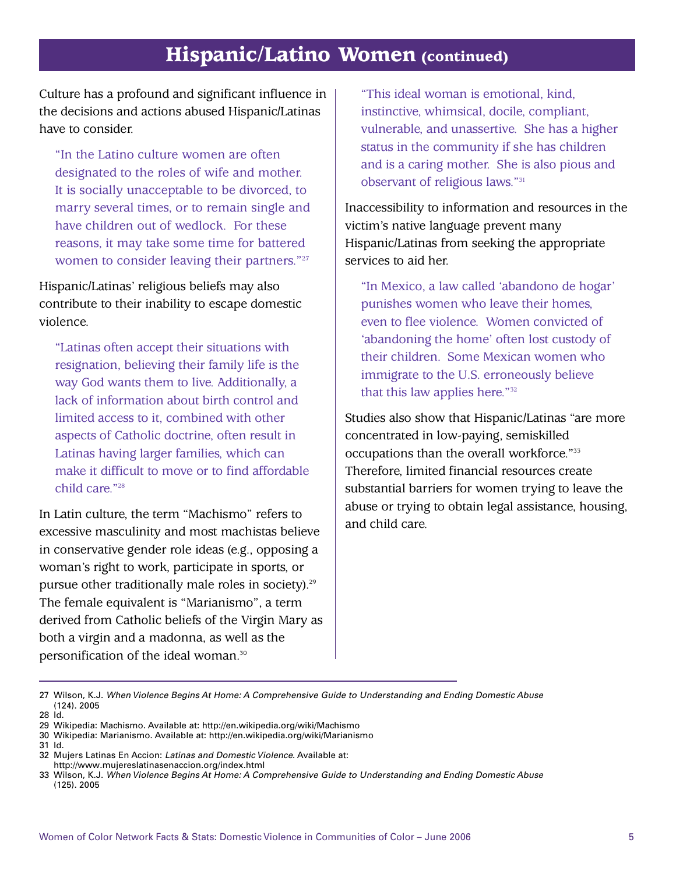## Hispanic/Latino Women (continued)

Culture has a profound and significant influence in the decisions and actions abused Hispanic/Latinas have to consider.

"In the Latino culture women are often designated to the roles of wife and mother. It is socially unacceptable to be divorced, to marry several times, or to remain single and have children out of wedlock. For these reasons, it may take some time for battered women to consider leaving their partners."<sup>27</sup>

Hispanic/Latinas' religious beliefs may also contribute to their inability to escape domestic violence.

"Latinas often accept their situations with resignation, believing their family life is the way God wants them to live. Additionally, a lack of information about birth control and limited access to it, combined with other aspects of Catholic doctrine, often result in Latinas having larger families, which can make it difficult to move or to find affordable child care."28

In Latin culture, the term "Machismo" refers to excessive masculinity and most machistas believe in conservative gender role ideas (e.g., opposing a woman's right to work, participate in sports, or pursue other traditionally male roles in society). 29 The female equivalent is "Marianismo", a term derived from Catholic beliefs of the Virgin Mary as both a virgin and a madonna, as well as the personification of the ideal woman. 30

"This ideal woman is emotional, kind, instinctive, whimsical, docile, compliant, vulnerable, and unassertive. She has a higher status in the community if she has children and is a caring mother. She is also pious and observant of religious laws."31

Inaccessibility to information and resources in the victim's native language prevent many Hispanic/Latinas from seeking the appropriate services to aid her.

"In Mexico, a law called 'abandono de hogar' punishes women who leave their homes, even to flee violence. Women convicted of 'abandoning the home' often lost custody of their children. Some Mexican women who immigrate to the U.S. erroneously believe that this law applies here."32

Studies also show that Hispanic/Latinas "are more concentrated in low-paying, semiskilled occupations than the overall workforce."33 Therefore, limited financial resources create substantial barriers for women trying to leave the abuse or trying to obtain legal assistance, housing, and child care.

<sup>27</sup> Wilson, K.J. *When Violence Begins At Home: A Comprehensive Guide to Understanding and Ending Domestic Abuse* (124). 2005 28 Id.

<sup>29</sup> Wikipedia: Machismo. Available at: http://en.wikipedia.org/wiki/Machismo

<sup>30</sup> Wikipedia: Marianismo. Available at: http://en.wikipedia.org/wiki/Marianismo

<sup>31</sup> Id.

<sup>32</sup> Mujers Latinas En Accion: *Latinas and Domestic Violence*. Available at:

http://www.mujereslatinasenaccion.org/index.html

<sup>33</sup> Wilson, K.J. *When Violence Begins At Home: A Comprehensive Guide to Understanding and Ending Domestic Abuse* (125). 2005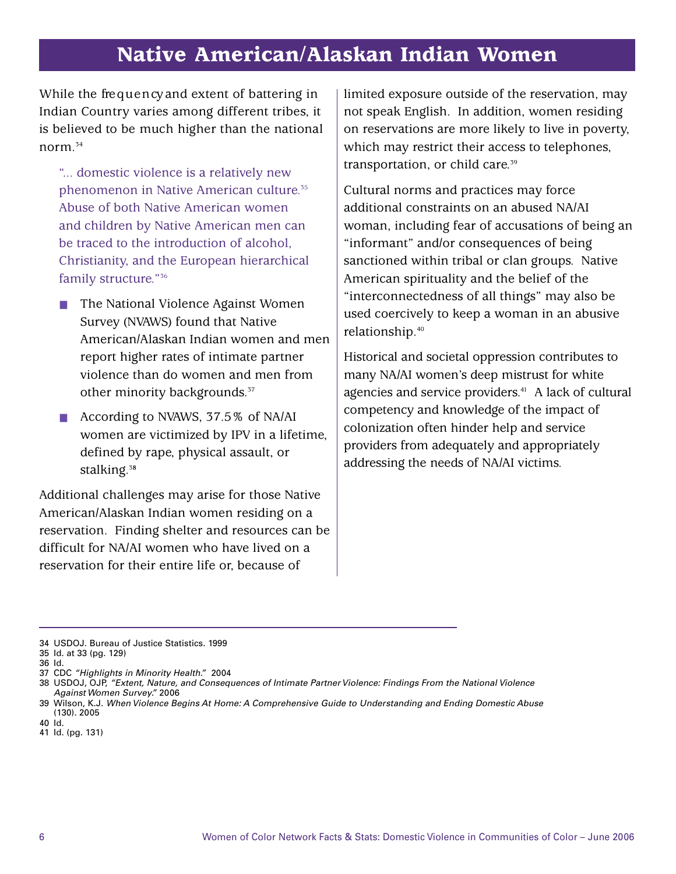# Native American/Alaskan Indian Women

While the frequency and extent of battering in Indian Country varies among different tribes, it is believed to be much higher than the national norm. 34

"... domestic violence is a relatively new phenomenon in Native American culture. 35 Abuse of both Native American women and children by Native American men can be traced to the introduction of alcohol, Christianity, and the European hierarchical family structure."<sup>36</sup>

- ! The National Violence Against Women Survey (NVAWS) found that Native American/Alaskan Indian women and men report higher rates of intimate partner violence than do women and men from other minority backgrounds.<sup>37</sup>
- **E** According to NVAWS, 37.5% of NA/AI women are victimized by IPV in a lifetime, defined by rape, physical assault, or stalking.3**<sup>8</sup>**

Additional challenges may arise for those Native American/Alaskan Indian women residing on a reservation. Finding shelter and resources can be difficult for NA/AI women who have lived on a reservation for their entire life or, because of

limited exposure outside of the reservation, may not speak English. In addition, women residing on reservations are more likely to live in poverty, which may restrict their access to telephones, transportation, or child care.<sup>39</sup>

Cultural norms and practices may force additional constraints on an abused NA/AI woman, including fear of accusations of being an "informant" and/or consequences of being sanctioned within tribal or clan groups. Native American spirituality and the belief of the "interconnectedness of all things" may also be used coercively to keep a woman in an abusive relationship.40

Historical and societal oppression contributes to many NA/AI women's deep mistrust for white agencies and service providers. <sup>41</sup> A lack of cultural competency and knowledge of the impact of colonization often hinder help and service providers from adequately and appropriately addressing the needs of NA/AI victims.

- 40 Id.
- 41 Id. (pg. 131)

<sup>34</sup> USDOJ. Bureau of Justice Statistics. 1999

<sup>35</sup> Id. at 33 (pg. 129)

<sup>36</sup> Id.

<sup>37</sup> CDC *"Highlights in Minority Health."* 2004

<sup>38</sup> USDOJ, OJP, *"Extent, Nature, and Consequences of Intimate PartnerViolence: Findings From the National Violence Against Women Survey."* 2006

<sup>39</sup> Wilson, K.J. *When Violence Begins At Home: A Comprehensive Guide to Understanding and Ending Domestic Abuse* (130). 2005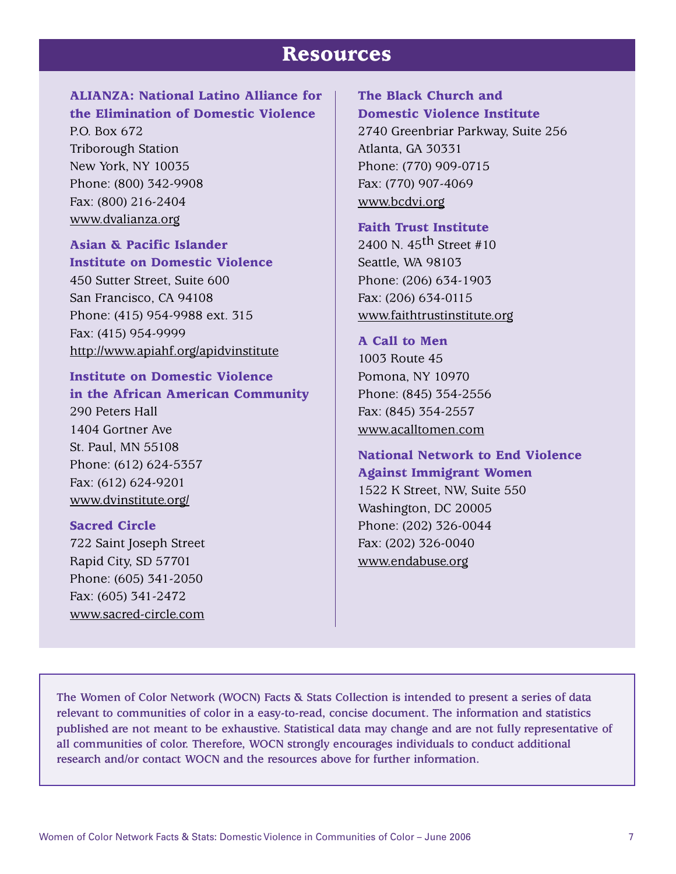## Resources

## ALIANZA: National Latino Alliance for the Elimination of Domestic Violence

P.O. Box 672 Triborough Station New York, NY 10035 Phone: (800) 342-9908 Fax: (800) 216-2404 www.dvalianza.org

### Asian & Pacific Islander Institute on Domestic Violence

450 Sutter Street, Suite 600 San Francisco, CA 94108 Phone: (415) 954-9988 ext. 315 Fax: (415) 954-9999 http://www.apiahf.org/apidvinstitute

## Institute on Domestic Violence in the African American Community

290 Peters Hall 1404 Gortner Ave St. Paul, MN 55108 Phone: (612) 624-5357 Fax: (612) 624-9201 www.dvinstitute.org/

#### Sacred Circle

722 Saint Joseph Street Rapid City, SD 57701 Phone: (605) 341-2050 Fax: (605) 341-2472 www.sacred-circle.com

## The Black Church and Domestic Violence Institute

2740 Greenbriar Parkway, Suite 256 Atlanta, GA 30331 Phone: (770) 909-0715 Fax: (770) 907-4069 www.bcdvi.org

#### Faith Trust Institute

2400 N.  $45^{th}$  Street #10 Seattle, WA 98103 Phone: (206) 634-1903 Fax: (206) 634-0115 www.faithtrustinstitute.org

#### A Call to Men

1003 Route 45 Pomona, NY 10970 Phone: (845) 354-2556 Fax: (845) 354-2557 www.acalltomen.com

## National Network to End Violence Against Immigrant Women

1522 K Street, NW, Suite 550 Washington, DC 20005 Phone: (202) 326-0044 Fax: (202) 326-0040 www.endabuse.org

**The Women of Color Network (WOCN) Facts & Stats Collection is intended to present a series of data relevant to communities of color in a easy-to-read, concise document. The information and statistics published are not meant to be exhaustive. Statistical data may change and are not fully representative of all communities of color. Therefore, WOCN strongly encourages individuals to conduct additional research and/or contact WOCN and the resources above for further information.**